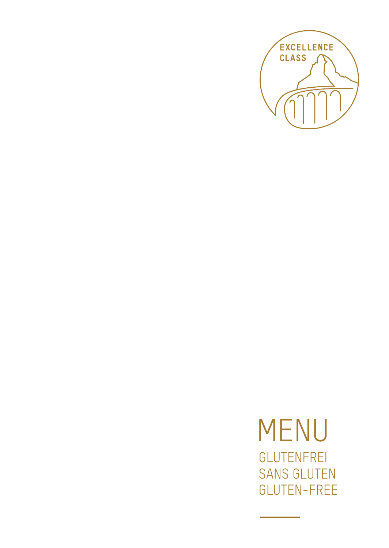

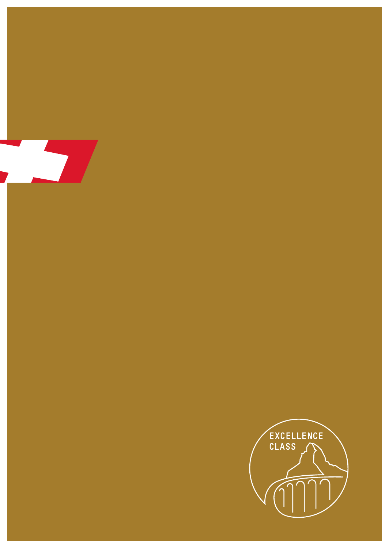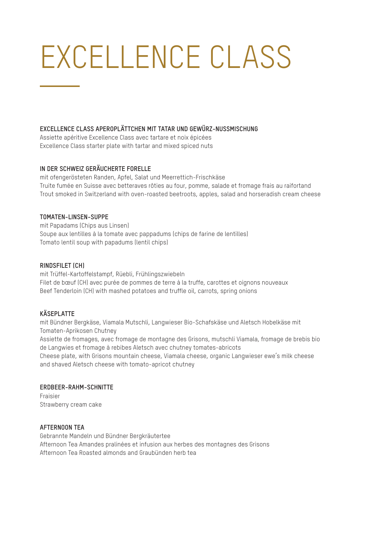# EXCELLENCE CLASS

### **EXCELLENCE CLASS APEROPLÄTTCHEN MIT TATAR UND GEWÜRZ-NUSSMISCHUNG**

Assiette apéritive Excellence Class avec tartare et noix épicées Excellence Class starter plate with tartar and mixed spiced nuts

## **IN DER SCHWEIZ GERÄUCHERTE FORELLE**

mit ofengerösteten Randen, Apfel, Salat und Meerrettich-Frischkäse Truite fumée en Suisse avec betteraves rôties au four, pomme, salade et fromage frais au raifortand Trout smoked in Switzerland with oven-roasted beetroots, apples, salad and horseradish cream cheese

#### **TOMATEN-LINSEN-SUPPE**

mit Papadams (Chips aus Linsen) Soupe aux lentilles à la tomate avec pappadums (chips de farine de lentilles) Tomato lentil soup with papadums (lentil chips)

#### **RINDSFILET (CH)**

mit Trüffel-Kartoffelstampf, Rüebli, Frühlingszwiebeln Filet de bœuf (CH) avec purée de pommes de terre à la truffe, carottes et oignons nouveaux Beef Tenderloin (CH) with mashed potatoes and truffle oil, carrots, spring onions

# **KÄSEPLATTE**

mit Bündner Bergkäse, Viamala Mutschli, Langwieser Bio-Schafskäse und Aletsch Hobelkäse mit Tomaten-Aprikosen Chutney

Assiette de fromages, avec fromage de montagne des Grisons, mutschli Viamala, fromage de brebis bio de Langwies et fromage à rebibes Aletsch avec chutney tomates-abricots

Cheese plate, with Grisons mountain cheese, Viamala cheese, organic Langwieser ewe's milk cheese and shaved Aletsch cheese with tomato-apricot chutney

#### **ERDBEER-RAHM-SCHNITTE**

Fraisier Strawberry cream cake

#### **AFTERNOON TEA**

Gebrannte Mandeln und Bündner Bergkräutertee Afternoon Tea Amandes pralinées et infusion aux herbes des montagnes des Grisons Afternoon Tea Roasted almonds and Graubünden herb tea